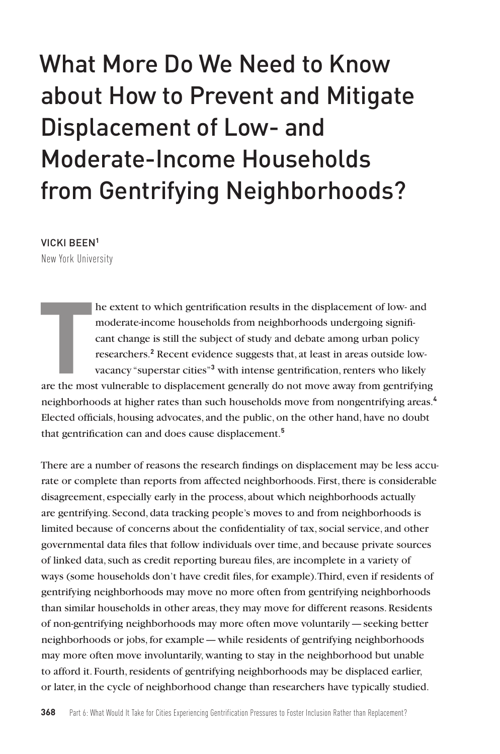# What More Do We Need to Know about How to Prevent and Mitigate Displacement of Low- and Moderate-Income Households from Gentrifying Neighborhoods?

#### VICKI BEEN**<sup>1</sup>**

New York University

**T**<br>are the mos he extent to which gentrification results in the displacement of low- and moderate-income households from neighborhoods undergoing significant change is still the subject of study and debate among urban policy researchers.**<sup>2</sup>** Recent evidence suggests that, at least in areas outside lowvacancy "superstar cities"**<sup>3</sup>** with intense gentrification, renters who likely are the most vulnerable to displacement generally do not move away from gentrifying neighborhoods at higher rates than such households move from nongentrifying areas.**<sup>4</sup>** Elected officials, housing advocates, and the public, on the other hand, have no doubt that gentrification can and does cause displacement.**<sup>5</sup>**

There are a number of reasons the research findings on displacement may be less accurate or complete than reports from affected neighborhoods. First, there is considerable disagreement, especially early in the process, about which neighborhoods actually are gentrifying. Second, data tracking people's moves to and from neighborhoods is limited because of concerns about the confidentiality of tax, social service, and other governmental data files that follow individuals over time, and because private sources of linked data, such as credit reporting bureau files, are incomplete in a variety of ways (some households don't have credit files, for example). Third, even if residents of gentrifying neighborhoods may move no more often from gentrifying neighborhoods than similar households in other areas, they may move for different reasons. Residents of non-gentrifying neighborhoods may more often move voluntarily—seeking better neighborhoods or jobs, for example—while residents of gentrifying neighborhoods may more often move involuntarily, wanting to stay in the neighborhood but unable to afford it. Fourth, residents of gentrifying neighborhoods may be displaced earlier, or later, in the cycle of neighborhood change than researchers have typically studied.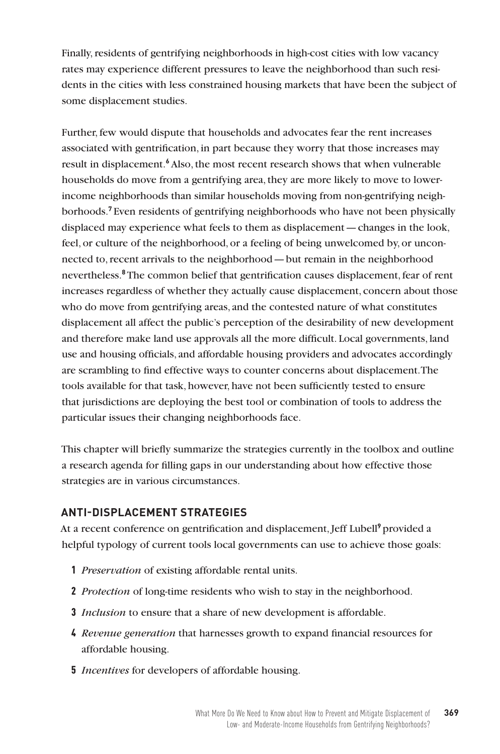Finally, residents of gentrifying neighborhoods in high-cost cities with low vacancy rates may experience different pressures to leave the neighborhood than such residents in the cities with less constrained housing markets that have been the subject of some displacement studies.

Further, few would dispute that households and advocates fear the rent increases associated with gentrification, in part because they worry that those increases may result in displacement.**<sup>6</sup>** Also, the most recent research shows that when vulnerable households do move from a gentrifying area, they are more likely to move to lowerincome neighborhoods than similar households moving from non-gentrifying neighborhoods.**<sup>7</sup>** Even residents of gentrifying neighborhoods who have not been physically displaced may experience what feels to them as displacement—changes in the look, feel, or culture of the neighborhood, or a feeling of being unwelcomed by, or unconnected to, recent arrivals to the neighborhood—but remain in the neighborhood nevertheless.**<sup>8</sup>** The common belief that gentrification causes displacement, fear of rent increases regardless of whether they actually cause displacement, concern about those who do move from gentrifying areas, and the contested nature of what constitutes displacement all affect the public's perception of the desirability of new development and therefore make land use approvals all the more difficult. Local governments, land use and housing officials, and affordable housing providers and advocates accordingly are scrambling to find effective ways to counter concerns about displacement. The tools available for that task, however, have not been sufficiently tested to ensure that jurisdictions are deploying the best tool or combination of tools to address the particular issues their changing neighborhoods face.

This chapter will briefly summarize the strategies currently in the toolbox and outline a research agenda for filling gaps in our understanding about how effective those strategies are in various circumstances.

## **ANTI-DISPLACEMENT STRATEGIES**

At a recent conference on gentrification and displacement, Jeff Lubell<sup>9</sup> provided a helpful typology of current tools local governments can use to achieve those goals:

- 1 *Preservation* of existing affordable rental units.
- 2 *Protection* of long-time residents who wish to stay in the neighborhood.
- 3 *Inclusion* to ensure that a share of new development is affordable.
- 4 *Revenue generation* that harnesses growth to expand financial resources for affordable housing.
- 5 *Incentives* for developers of affordable housing.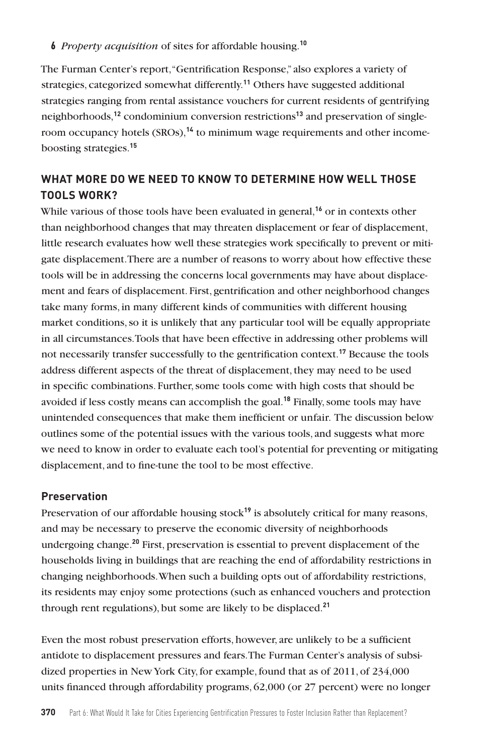#### 6 *Property acquisition* of sites for affordable housing.**<sup>10</sup>**

The Furman Center's report, "Gentrification Response," also explores a variety of strategies, categorized somewhat differently.**<sup>11</sup>** Others have suggested additional strategies ranging from rental assistance vouchers for current residents of gentrifying neighborhoods,**12** condominium conversion restrictions**13** and preservation of singleroom occupancy hotels (SROs),**14** to minimum wage requirements and other incomeboosting strategies.**<sup>15</sup>**

## **WHAT MORE DO WE NEED TO KNOW TO DETERMINE HOW WELL THOSE TOOLS WORK?**

While various of those tools have been evaluated in general,**<sup>16</sup>** or in contexts other than neighborhood changes that may threaten displacement or fear of displacement, little research evaluates how well these strategies work specifically to prevent or mitigate displacement. There are a number of reasons to worry about how effective these tools will be in addressing the concerns local governments may have about displacement and fears of displacement. First, gentrification and other neighborhood changes take many forms, in many different kinds of communities with different housing market conditions, so it is unlikely that any particular tool will be equally appropriate in all circumstances. Tools that have been effective in addressing other problems will not necessarily transfer successfully to the gentrification context.**<sup>17</sup>** Because the tools address different aspects of the threat of displacement, they may need to be used in specific combinations. Further, some tools come with high costs that should be avoided if less costly means can accomplish the goal.**<sup>18</sup>** Finally, some tools may have unintended consequences that make them inefficient or unfair. The discussion below outlines some of the potential issues with the various tools, and suggests what more we need to know in order to evaluate each tool's potential for preventing or mitigating displacement, and to fine-tune the tool to be most effective.

#### **Preservation**

Preservation of our affordable housing stock<sup>19</sup> is absolutely critical for many reasons, and may be necessary to preserve the economic diversity of neighborhoods undergoing change.**<sup>20</sup>** First, preservation is essential to prevent displacement of the households living in buildings that are reaching the end of affordability restrictions in changing neighborhoods. When such a building opts out of affordability restrictions, its residents may enjoy some protections (such as enhanced vouchers and protection through rent regulations), but some are likely to be displaced.**<sup>21</sup>**

Even the most robust preservation efforts, however, are unlikely to be a sufficient antidote to displacement pressures and fears. The Furman Center's analysis of subsidized properties in New York City, for example, found that as of 2011, of 234,000 units financed through affordability programs, 62,000 (or 27 percent) were no longer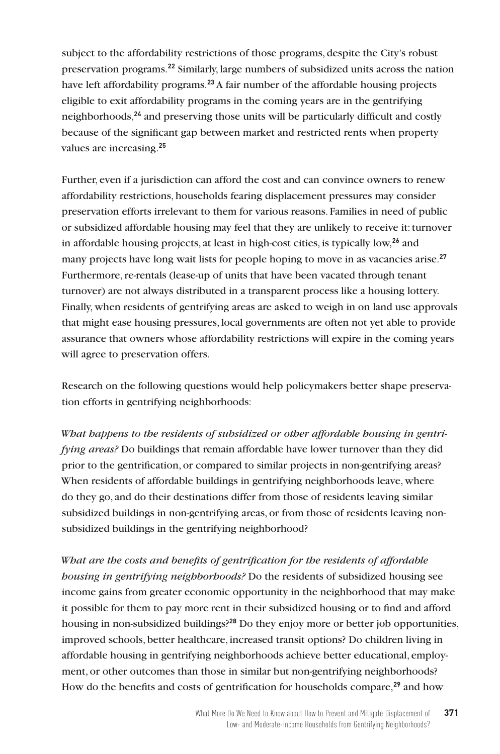subject to the affordability restrictions of those programs, despite the City's robust preservation programs.**<sup>22</sup>** Similarly, large numbers of subsidized units across the nation have left affordability programs.**<sup>23</sup>** A fair number of the affordable housing projects eligible to exit affordability programs in the coming years are in the gentrifying neighborhoods,**<sup>24</sup>** and preserving those units will be particularly difficult and costly because of the significant gap between market and restricted rents when property values are increasing.**<sup>25</sup>**

Further, even if a jurisdiction can afford the cost and can convince owners to renew affordability restrictions, households fearing displacement pressures may consider preservation efforts irrelevant to them for various reasons. Families in need of public or subsidized affordable housing may feel that they are unlikely to receive it: turnover in affordable housing projects, at least in high-cost cities, is typically low,**<sup>26</sup>** and many projects have long wait lists for people hoping to move in as vacancies arise.**<sup>27</sup>** Furthermore, re-rentals (lease-up of units that have been vacated through tenant turnover) are not always distributed in a transparent process like a housing lottery. Finally, when residents of gentrifying areas are asked to weigh in on land use approvals that might ease housing pressures, local governments are often not yet able to provide assurance that owners whose affordability restrictions will expire in the coming years will agree to preservation offers.

Research on the following questions would help policymakers better shape preservation efforts in gentrifying neighborhoods:

*What happens to the residents of subsidized or other affordable housing in gentrifying areas?* Do buildings that remain affordable have lower turnover than they did prior to the gentrification, or compared to similar projects in non-gentrifying areas? When residents of affordable buildings in gentrifying neighborhoods leave, where do they go, and do their destinations differ from those of residents leaving similar subsidized buildings in non-gentrifying areas, or from those of residents leaving nonsubsidized buildings in the gentrifying neighborhood?

*What are the costs and benefits of gentrification for the residents of affordable housing in gentrifying neighborhoods?* Do the residents of subsidized housing see income gains from greater economic opportunity in the neighborhood that may make it possible for them to pay more rent in their subsidized housing or to find and afford housing in non-subsidized buildings?**<sup>28</sup>** Do they enjoy more or better job opportunities, improved schools, better healthcare, increased transit options? Do children living in affordable housing in gentrifying neighborhoods achieve better educational, employment, or other outcomes than those in similar but non-gentrifying neighborhoods? How do the benefits and costs of gentrification for households compare,**<sup>29</sup>** and how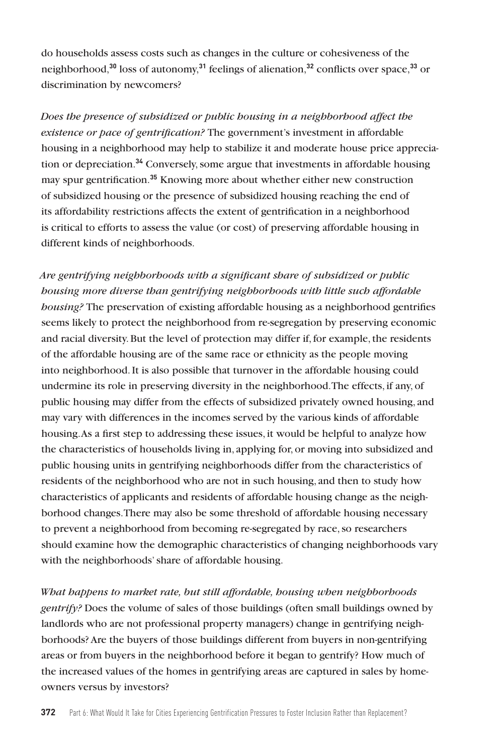do households assess costs such as changes in the culture or cohesiveness of the neighborhood,**<sup>30</sup>** loss of autonomy,**<sup>31</sup>** feelings of alienation,**<sup>32</sup>** conflicts over space,**<sup>33</sup>** or discrimination by newcomers?

*Does the presence of subsidized or public housing in a neighborhood affect the existence or pace of gentrification?* The government's investment in affordable housing in a neighborhood may help to stabilize it and moderate house price appreciation or depreciation.**<sup>34</sup>** Conversely, some argue that investments in affordable housing may spur gentrification.**<sup>35</sup>** Knowing more about whether either new construction of subsidized housing or the presence of subsidized housing reaching the end of its affordability restrictions affects the extent of gentrification in a neighborhood is critical to efforts to assess the value (or cost) of preserving affordable housing in different kinds of neighborhoods.

*Are gentrifying neighborhoods with a significant share of subsidized or public housing more diverse than gentrifying neighborhoods with little such affordable housing?* The preservation of existing affordable housing as a neighborhood gentrifies seems likely to protect the neighborhood from re-segregation by preserving economic and racial diversity. But the level of protection may differ if, for example, the residents of the affordable housing are of the same race or ethnicity as the people moving into neighborhood. It is also possible that turnover in the affordable housing could undermine its role in preserving diversity in the neighborhood. The effects, if any, of public housing may differ from the effects of subsidized privately owned housing, and may vary with differences in the incomes served by the various kinds of affordable housing. As a first step to addressing these issues, it would be helpful to analyze how the characteristics of households living in, applying for, or moving into subsidized and public housing units in gentrifying neighborhoods differ from the characteristics of residents of the neighborhood who are not in such housing, and then to study how characteristics of applicants and residents of affordable housing change as the neighborhood changes. There may also be some threshold of affordable housing necessary to prevent a neighborhood from becoming re-segregated by race, so researchers should examine how the demographic characteristics of changing neighborhoods vary with the neighborhoods' share of affordable housing.

*What happens to market rate, but still affordable, housing when neighborhoods gentrify?* Does the volume of sales of those buildings (often small buildings owned by landlords who are not professional property managers) change in gentrifying neighborhoods? Are the buyers of those buildings different from buyers in non-gentrifying areas or from buyers in the neighborhood before it began to gentrify? How much of the increased values of the homes in gentrifying areas are captured in sales by homeowners versus by investors?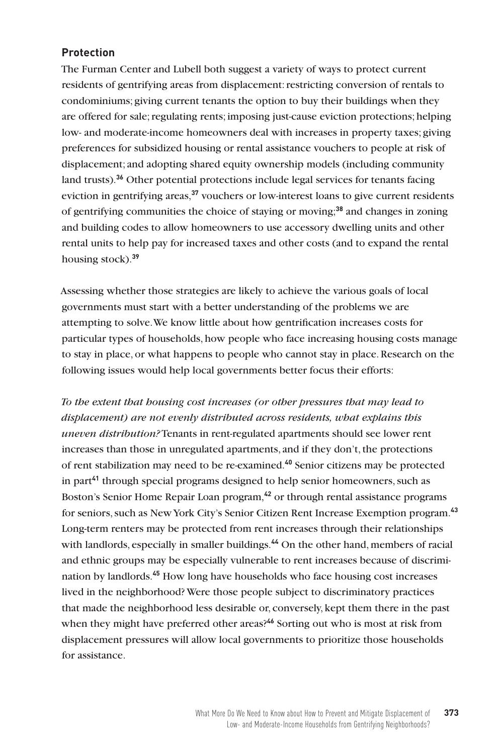## **Protection**

The Furman Center and Lubell both suggest a variety of ways to protect current residents of gentrifying areas from displacement: restricting conversion of rentals to condominiums; giving current tenants the option to buy their buildings when they are offered for sale; regulating rents; imposing just-cause eviction protections; helping low- and moderate-income homeowners deal with increases in property taxes; giving preferences for subsidized housing or rental assistance vouchers to people at risk of displacement; and adopting shared equity ownership models (including community land trusts).**<sup>36</sup>** Other potential protections include legal services for tenants facing eviction in gentrifying areas,**<sup>37</sup>** vouchers or low-interest loans to give current residents of gentrifying communities the choice of staying or moving;**<sup>38</sup>** and changes in zoning and building codes to allow homeowners to use accessory dwelling units and other rental units to help pay for increased taxes and other costs (and to expand the rental housing stock).**<sup>39</sup>**

Assessing whether those strategies are likely to achieve the various goals of local governments must start with a better understanding of the problems we are attempting to solve. We know little about how gentrification increases costs for particular types of households, how people who face increasing housing costs manage to stay in place, or what happens to people who cannot stay in place. Research on the following issues would help local governments better focus their efforts:

*To the extent that housing cost increases (or other pressures that may lead to displacement) are not evenly distributed across residents, what explains this uneven distribution?* Tenants in rent-regulated apartments should see lower rent increases than those in unregulated apartments, and if they don't, the protections of rent stabilization may need to be re-examined.**<sup>40</sup>** Senior citizens may be protected in part**<sup>41</sup>** through special programs designed to help senior homeowners, such as Boston's Senior Home Repair Loan program,**<sup>42</sup>** or through rental assistance programs for seniors, such as New York City's Senior Citizen Rent Increase Exemption program.**<sup>43</sup>** Long-term renters may be protected from rent increases through their relationships with landlords, especially in smaller buildings.**<sup>44</sup>** On the other hand, members of racial and ethnic groups may be especially vulnerable to rent increases because of discrimination by landlords.**<sup>45</sup>** How long have households who face housing cost increases lived in the neighborhood? Were those people subject to discriminatory practices that made the neighborhood less desirable or, conversely, kept them there in the past when they might have preferred other areas?<sup>46</sup> Sorting out who is most at risk from displacement pressures will allow local governments to prioritize those households for assistance.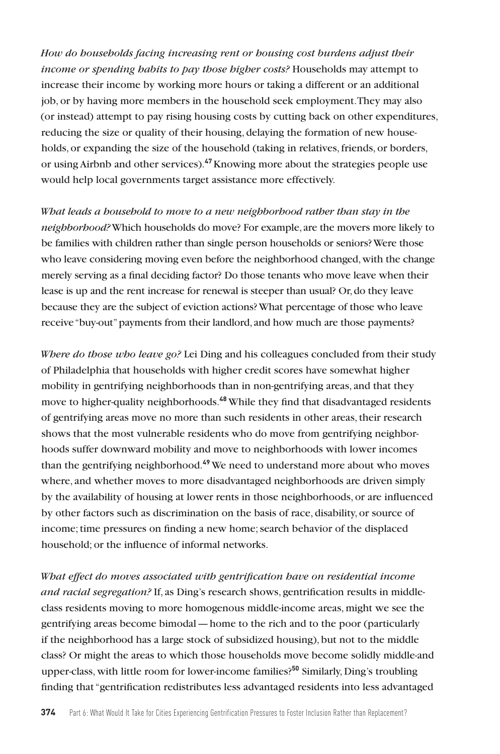*How do households facing increasing rent or housing cost burdens adjust their income or spending habits to pay those higher costs?* Households may attempt to increase their income by working more hours or taking a different or an additional job, or by having more members in the household seek employment. They may also (or instead) attempt to pay rising housing costs by cutting back on other expenditures, reducing the size or quality of their housing, delaying the formation of new households, or expanding the size of the household (taking in relatives, friends, or borders, or using Airbnb and other services).**<sup>47</sup>**Knowing more about the strategies people use would help local governments target assistance more effectively.

*What leads a household to move to a new neighborhood rather than stay in the neighborhood?* Which households do move? For example, are the movers more likely to be families with children rather than single person households or seniors? Were those who leave considering moving even before the neighborhood changed, with the change merely serving as a final deciding factor? Do those tenants who move leave when their lease is up and the rent increase for renewal is steeper than usual? Or, do they leave because they are the subject of eviction actions? What percentage of those who leave receive "buy-out" payments from their landlord, and how much are those payments?

*Where do those who leave go?* Lei Ding and his colleagues concluded from their study of Philadelphia that households with higher credit scores have somewhat higher mobility in gentrifying neighborhoods than in non-gentrifying areas, and that they move to higher-quality neighborhoods.**<sup>48</sup>** While they find that disadvantaged residents of gentrifying areas move no more than such residents in other areas, their research shows that the most vulnerable residents who do move from gentrifying neighborhoods suffer downward mobility and move to neighborhoods with lower incomes than the gentrifying neighborhood.**<sup>49</sup>** We need to understand more about who moves where, and whether moves to more disadvantaged neighborhoods are driven simply by the availability of housing at lower rents in those neighborhoods, or are influenced by other factors such as discrimination on the basis of race, disability, or source of income; time pressures on finding a new home; search behavior of the displaced household; or the influence of informal networks.

*What effect do moves associated with gentrification have on residential income and racial segregation?* If, as Ding's research shows, gentrification results in middleclass residents moving to more homogenous middle-income areas, might we see the gentrifying areas become bimodal—home to the rich and to the poor (particularly if the neighborhood has a large stock of subsidized housing), but not to the middle class? Or might the areas to which those households move become solidly middle-and upper-class, with little room for lower-income families?**<sup>50</sup>** Similarly, Ding's troubling finding that "gentrification redistributes less advantaged residents into less advantaged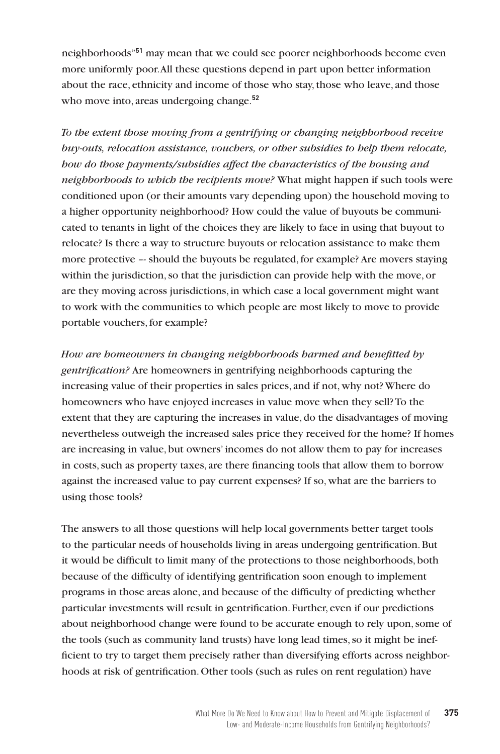neighborhoods"**<sup>51</sup>** may mean that we could see poorer neighborhoods become even more uniformly poor. All these questions depend in part upon better information about the race, ethnicity and income of those who stay, those who leave, and those who move into, areas undergoing change.**<sup>52</sup>**

*To the extent those moving from a gentrifying or changing neighborhood receive buy-outs, relocation assistance, vouchers, or other subsidies to help them relocate, how do those payments/subsidies affect the characteristics of the housing and neighborhoods to which the recipients move?* What might happen if such tools were conditioned upon (or their amounts vary depending upon) the household moving to a higher opportunity neighborhood? How could the value of buyouts be communicated to tenants in light of the choices they are likely to face in using that buyout to relocate? Is there a way to structure buyouts or relocation assistance to make them more protective –- should the buyouts be regulated, for example? Are movers staying within the jurisdiction, so that the jurisdiction can provide help with the move, or are they moving across jurisdictions, in which case a local government might want to work with the communities to which people are most likely to move to provide portable vouchers, for example?

*How are homeowners in changing neighborhoods harmed and benefitted by gentrification?* Are homeowners in gentrifying neighborhoods capturing the increasing value of their properties in sales prices, and if not, why not? Where do homeowners who have enjoyed increases in value move when they sell? To the extent that they are capturing the increases in value, do the disadvantages of moving nevertheless outweigh the increased sales price they received for the home? If homes are increasing in value, but owners' incomes do not allow them to pay for increases in costs, such as property taxes, are there financing tools that allow them to borrow against the increased value to pay current expenses? If so, what are the barriers to using those tools?

The answers to all those questions will help local governments better target tools to the particular needs of households living in areas undergoing gentrification. But it would be difficult to limit many of the protections to those neighborhoods, both because of the difficulty of identifying gentrification soon enough to implement programs in those areas alone, and because of the difficulty of predicting whether particular investments will result in gentrification. Further, even if our predictions about neighborhood change were found to be accurate enough to rely upon, some of the tools (such as community land trusts) have long lead times, so it might be inefficient to try to target them precisely rather than diversifying efforts across neighborhoods at risk of gentrification. Other tools (such as rules on rent regulation) have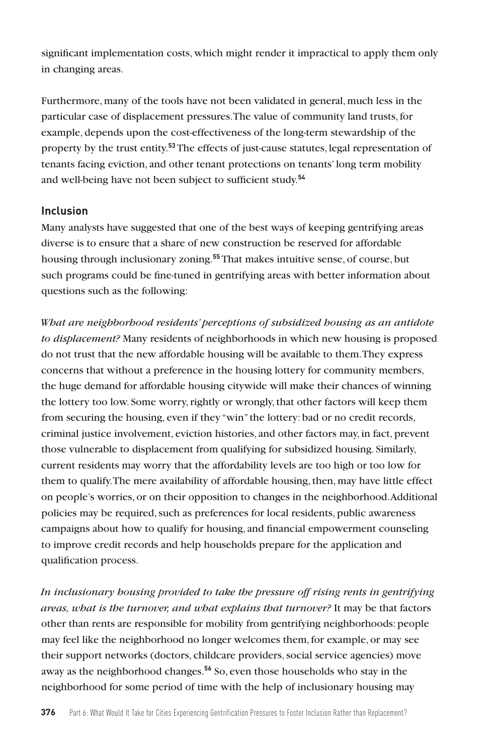significant implementation costs, which might render it impractical to apply them only in changing areas.

Furthermore, many of the tools have not been validated in general, much less in the particular case of displacement pressures. The value of community land trusts, for example, depends upon the cost-effectiveness of the long-term stewardship of the property by the trust entity.**<sup>53</sup>** The effects of just-cause statutes, legal representation of tenants facing eviction, and other tenant protections on tenants' long term mobility and well-being have not been subject to sufficient study.**<sup>54</sup>**

#### **Inclusion**

Many analysts have suggested that one of the best ways of keeping gentrifying areas diverse is to ensure that a share of new construction be reserved for affordable housing through inclusionary zoning.**<sup>55</sup>** That makes intuitive sense, of course, but such programs could be fine-tuned in gentrifying areas with better information about questions such as the following:

*What are neighborhood residents' perceptions of subsidized housing as an antidote to displacement?* Many residents of neighborhoods in which new housing is proposed do not trust that the new affordable housing will be available to them. They express concerns that without a preference in the housing lottery for community members, the huge demand for affordable housing citywide will make their chances of winning the lottery too low. Some worry, rightly or wrongly, that other factors will keep them from securing the housing, even if they "win" the lottery: bad or no credit records, criminal justice involvement, eviction histories, and other factors may, in fact, prevent those vulnerable to displacement from qualifying for subsidized housing. Similarly, current residents may worry that the affordability levels are too high or too low for them to qualify. The mere availability of affordable housing, then, may have little effect on people's worries, or on their opposition to changes in the neighborhood. Additional policies may be required, such as preferences for local residents, public awareness campaigns about how to qualify for housing, and financial empowerment counseling to improve credit records and help households prepare for the application and qualification process.

*In inclusionary housing provided to take the pressure off rising rents in gentrifying areas, what is the turnover, and what explains that turnover?* It may be that factors other than rents are responsible for mobility from gentrifying neighborhoods: people may feel like the neighborhood no longer welcomes them, for example, or may see their support networks (doctors, childcare providers, social service agencies) move away as the neighborhood changes.**<sup>56</sup>** So, even those households who stay in the neighborhood for some period of time with the help of inclusionary housing may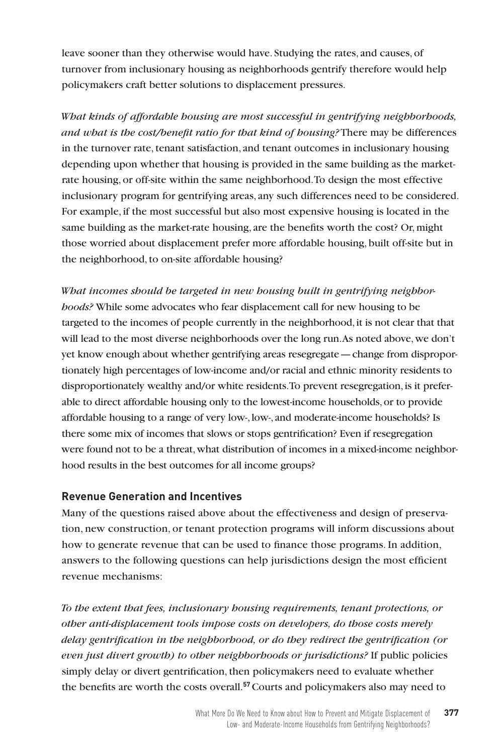leave sooner than they otherwise would have. Studying the rates, and causes, of turnover from inclusionary housing as neighborhoods gentrify therefore would help policymakers craft better solutions to displacement pressures.

*What kinds of affordable housing are most successful in gentrifying neighborhoods, and what is the cost/benefit ratio for that kind of housing?* There may be differences in the turnover rate, tenant satisfaction, and tenant outcomes in inclusionary housing depending upon whether that housing is provided in the same building as the marketrate housing, or off-site within the same neighborhood. To design the most effective inclusionary program for gentrifying areas, any such differences need to be considered. For example, if the most successful but also most expensive housing is located in the same building as the market-rate housing, are the benefits worth the cost? Or, might those worried about displacement prefer more affordable housing, built off-site but in the neighborhood, to on-site affordable housing?

*What incomes should be targeted in new housing built in gentrifying neighborhoods?* While some advocates who fear displacement call for new housing to be targeted to the incomes of people currently in the neighborhood, it is not clear that that will lead to the most diverse neighborhoods over the long run. As noted above, we don't yet know enough about whether gentrifying areas resegregate—change from disproportionately high percentages of low-income and/or racial and ethnic minority residents to disproportionately wealthy and/or white residents. To prevent resegregation, is it preferable to direct affordable housing only to the lowest-income households, or to provide affordable housing to a range of very low-, low-, and moderate-income households? Is there some mix of incomes that slows or stops gentrification? Even if resegregation were found not to be a threat, what distribution of incomes in a mixed-income neighborhood results in the best outcomes for all income groups?

## **Revenue Generation and Incentives**

Many of the questions raised above about the effectiveness and design of preservation, new construction, or tenant protection programs will inform discussions about how to generate revenue that can be used to finance those programs. In addition, answers to the following questions can help jurisdictions design the most efficient revenue mechanisms:

*To the extent that fees, inclusionary housing requirements, tenant protections, or other anti-displacement tools impose costs on developers, do those costs merely delay gentrification in the neighborhood, or do they redirect the gentrification (or even just divert growth) to other neighborhoods or jurisdictions?* If public policies simply delay or divert gentrification, then policymakers need to evaluate whether the benefits are worth the costs overall.**<sup>57</sup>**Courts and policymakers also may need to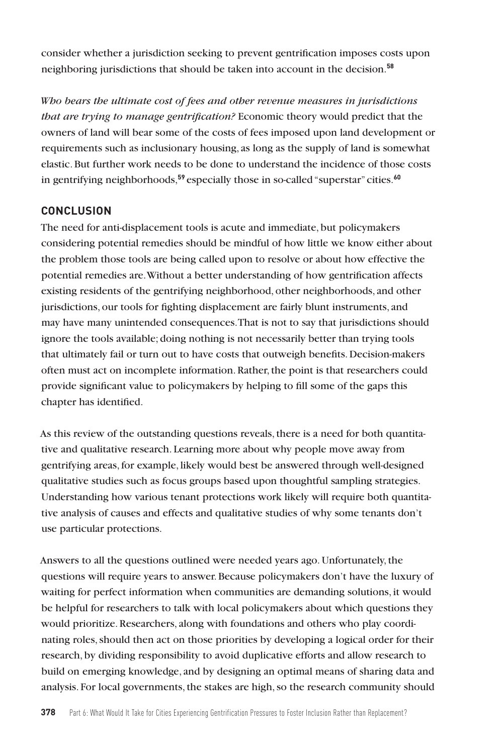consider whether a jurisdiction seeking to prevent gentrification imposes costs upon neighboring jurisdictions that should be taken into account in the decision.**<sup>58</sup>**

*Who bears the ultimate cost of fees and other revenue measures in jurisdictions that are trying to manage gentrification?* Economic theory would predict that the owners of land will bear some of the costs of fees imposed upon land development or requirements such as inclusionary housing, as long as the supply of land is somewhat elastic. But further work needs to be done to understand the incidence of those costs in gentrifying neighborhoods,**<sup>59</sup>** especially those in so-called "superstar" cities.**<sup>60</sup>**

## **CONCLUSION**

The need for anti-displacement tools is acute and immediate, but policymakers considering potential remedies should be mindful of how little we know either about the problem those tools are being called upon to resolve or about how effective the potential remedies are. Without a better understanding of how gentrification affects existing residents of the gentrifying neighborhood, other neighborhoods, and other jurisdictions, our tools for fighting displacement are fairly blunt instruments, and may have many unintended consequences. That is not to say that jurisdictions should ignore the tools available; doing nothing is not necessarily better than trying tools that ultimately fail or turn out to have costs that outweigh benefits. Decision-makers often must act on incomplete information. Rather, the point is that researchers could provide significant value to policymakers by helping to fill some of the gaps this chapter has identified.

As this review of the outstanding questions reveals, there is a need for both quantitative and qualitative research. Learning more about why people move away from gentrifying areas, for example, likely would best be answered through well-designed qualitative studies such as focus groups based upon thoughtful sampling strategies. Understanding how various tenant protections work likely will require both quantitative analysis of causes and effects and qualitative studies of why some tenants don't use particular protections.

Answers to all the questions outlined were needed years ago. Unfortunately, the questions will require years to answer. Because policymakers don't have the luxury of waiting for perfect information when communities are demanding solutions, it would be helpful for researchers to talk with local policymakers about which questions they would prioritize. Researchers, along with foundations and others who play coordinating roles, should then act on those priorities by developing a logical order for their research, by dividing responsibility to avoid duplicative efforts and allow research to build on emerging knowledge, and by designing an optimal means of sharing data and analysis. For local governments, the stakes are high, so the research community should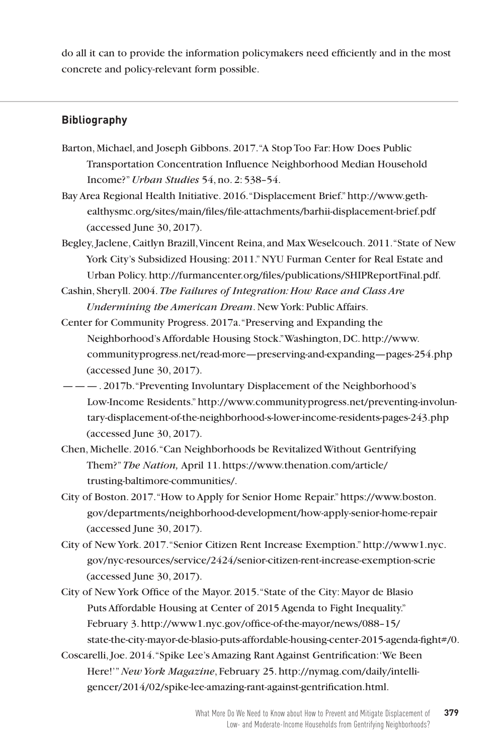do all it can to provide the information policymakers need efficiently and in the most concrete and policy-relevant form possible.

#### **Bibliography**

- Barton, Michael, and Joseph Gibbons. 2017. "A Stop Too Far: How Does Public Transportation Concentration Influence Neighborhood Median Household Income?" *Urban Studies* 54, no. 2: 538–54.
- Bay Area Regional Health Initiative. 2016. "Displacement Brief." http://www.gethealthysmc.org/sites/main/files/file-attachments/barhii-displacement-brief.pdf (accessed June 30, 2017).
- Begley, Jaclene, Caitlyn Brazill, Vincent Reina, and Max Weselcouch. 2011. "State of New York City's Subsidized Housing: 2011." NYU Furman Center for Real Estate and Urban Policy. http://furmancenter.org/files/publications/SHIPReportFinal.pdf.

Cashin, Sheryll. 2004. *The Failures of Integration: How Race and Class Are Undermining the American Dream*. New York: Public Affairs.

- Center for Community Progress. 2017a. "Preserving and Expanding the Neighborhood's Affordable Housing Stock." Washington, DC. http://www. communityprogress.net/read-more—preserving-and-expanding—pages-254.php (accessed June 30, 2017).
- ———. 2017b. "Preventing Involuntary Displacement of the Neighborhood's Low-Income Residents." http://www.communityprogress.net/preventing-involuntary-displacement-of-the-neighborhood-s-lower-income-residents-pages-243.php (accessed June 30, 2017).
- Chen, Michelle. 2016. "Can Neighborhoods be Revitalized Without Gentrifying Them?" *The Nation,* April 11. https://www.thenation.com/article/ trusting-baltimore-communities/.
- City of Boston. 2017. "How to Apply for Senior Home Repair." https://www.boston. gov/departments/neighborhood-development/how-apply-senior-home-repair (accessed June 30, 2017).
- City of New York. 2017. "Senior Citizen Rent Increase Exemption." http://www1.nyc. gov/nyc-resources/service/2424/senior-citizen-rent-increase-exemption-scrie (accessed June 30, 2017).
- City of New York Office of the Mayor. 2015. "State of the City: Mayor de Blasio Puts Affordable Housing at Center of 2015 Agenda to Fight Inequality." February 3. http://www1.nyc.gov/office-of-the-mayor/news/088–15/ state-the-city-mayor-de-blasio-puts-affordable-housing-center-2015-agenda-fight#/0.
- Coscarelli, Joe. 2014. "Spike Lee's Amazing Rant Against Gentrification: 'We Been Here!'" *New York Magazine*, February 25. http://nymag.com/daily/intelligencer/2014/02/spike-lee-amazing-rant-against-gentrification.html.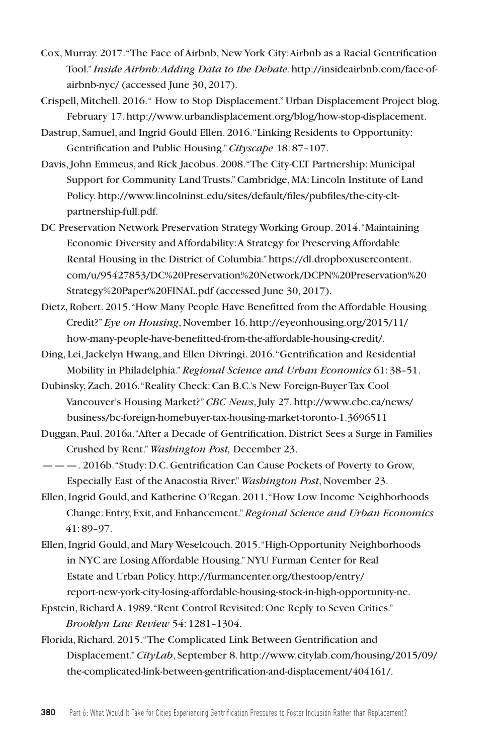- Cox, Murray. 2017. "The Face of Airbnb, New York City: Airbnb as a Racial Gentrification Tool." *Inside Airbnb: Adding Data to the Debate.* http://insideairbnb.com/face-ofairbnb-nyc/ (accessed June 30, 2017).
- Crispell, Mitchell. 2016. " How to Stop Displacement." Urban Displacement Project blog. February 17. http://www.urbandisplacement.org/blog/how-stop-displacement.
- Dastrup, Samuel, and Ingrid Gould Ellen. 2016. "Linking Residents to Opportunity: Gentrification and Public Housing." *Cityscape* 18: 87–107.
- Davis, John Emmeus, and Rick Jacobus. 2008. "The City-CLT Partnership: Municipal Support for Community Land Trusts." Cambridge, MA: Lincoln Institute of Land Policy. http://www.lincolninst.edu/sites/default/files/pubfiles/the-city-cltpartnership-full.pdf.
- DC Preservation Network Preservation Strategy Working Group. 2014. "Maintaining Economic Diversity and Affordability: A Strategy for Preserving Affordable Rental Housing in the District of Columbia." https://dl.dropboxusercontent. com/u/95427853/DC%20Preservation%20Network/DCPN%20Preservation%20 Strategy%20Paper%20FINAL.pdf (accessed June 30, 2017).
- Dietz, Robert. 2015. "How Many People Have Benefitted from the Affordable Housing Credit?" *Eye on Housing*, November 16. http://eyeonhousing.org/2015/11/ how-many-people-have-benefitted-from-the-affordable-housing-credit/.
- Ding, Lei, Jackelyn Hwang, and Ellen Divringi. 2016. "Gentrification and Residential Mobility in Philadelphia."*Regional Science and Urban Economics* 61: 38–51.
- Dubinsky, Zach. 2016. "Reality Check: Can B.C.'s New Foreign-Buyer Tax Cool Vancouver's Housing Market?" *CBC News*, July 27. http://www.cbc.ca/news/ business/bc-foreign-homebuyer-tax-housing-market-toronto-1.3696511
- Duggan, Paul. 2016a. "After a Decade of Gentrification, District Sees a Surge in Families Crushed by Rent." *Washington Post,* December 23.
- ———. 2016b. "Study: D.C. Gentrification Can Cause Pockets of Poverty to Grow, Especially East of the Anacostia River." *Washington Post*, November 23.
- Ellen, Ingrid Gould, and Katherine O'Regan. 2011. "How Low Income Neighborhoods Change: Entry, Exit, and Enhancement." *Regional Science and Urban Economics*  41: 89–97.
- Ellen, Ingrid Gould, and Mary Weselcouch. 2015. "High-Opportunity Neighborhoods in NYC are Losing Affordable Housing." NYU Furman Center for Real Estate and Urban Policy. http://furmancenter.org/thestoop/entry/ report-new-york-city-losing-affordable-housing-stock-in-high-opportunity-ne.
- Epstein, Richard A. 1989. "Rent Control Revisited: One Reply to Seven Critics." *Brooklyn Law Review* 54: 1281–1304.
- Florida, Richard. 2015. "The Complicated Link Between Gentrification and Displacement." *CityLab*, September 8. http://www.citylab.com/housing/2015/09/ the-complicated-link-between-gentrification-and-displacement/404161/.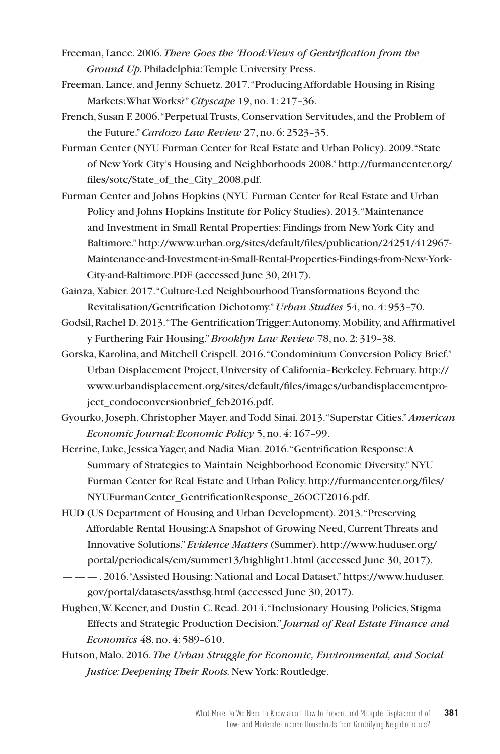- Freeman, Lance. 2006. *There Goes the 'Hood: Views of Gentrification from the Ground Up.* Philadelphia: Temple University Press.
- Freeman, Lance, and Jenny Schuetz. 2017. "Producing Affordable Housing in Rising Markets: What Works?" *Cityscape* 19, no. 1: 217–36.
- French, Susan F. 2006. "Perpetual Trusts, Conservation Servitudes, and the Problem of the Future." *Cardozo Law Review* 27, no. 6: 2523–35.
- Furman Center (NYU Furman Center for Real Estate and Urban Policy). 2009. "State of New York City's Housing and Neighborhoods 2008." http://furmancenter.org/ files/sotc/State\_of\_the\_City\_2008.pdf.
- Furman Center and Johns Hopkins (NYU Furman Center for Real Estate and Urban Policy and Johns Hopkins Institute for Policy Studies). 2013. "Maintenance and Investment in Small Rental Properties: Findings from New York City and Baltimore." http://www.urban.org/sites/default/files/publication/24251/412967- Maintenance-and-Investment-in-Small-Rental-Properties-Findings-from-New-York-City-and-Baltimore.PDF (accessed June 30, 2017).
- Gainza, Xabier. 2017. "Culture-Led Neighbourhood Transformations Beyond the Revitalisation/Gentrification Dichotomy." *Urban Studies* 54, no. 4: 953–70.
- Godsil,Rachel D. 2013. "The Gentrification Trigger: Autonomy, Mobility, and Affirmativel y Furthering Fair Housing." *Brooklyn Law Review* 78, no. 2: 319–38.
- Gorska, Karolina, and Mitchell Crispell. 2016. "Condominium Conversion Policy Brief." Urban Displacement Project, University of California–Berkeley. February. http:// www.urbandisplacement.org/sites/default/files/images/urbandisplacementproject\_condoconversionbrief\_feb2016.pdf.
- Gyourko, Joseph, Christopher Mayer, and Todd Sinai. 2013. "Superstar Cities." *American Economic Journal: Economic Policy* 5, no. 4: 167–99.
- Herrine, Luke, Jessica Yager, and Nadia Mian. 2016. "Gentrification Response: A Summary of Strategies to Maintain Neighborhood Economic Diversity." NYU Furman Center for Real Estate and Urban Policy. http://furmancenter.org/files/ NYUFurmanCenter\_GentrificationResponse\_26OCT2016.pdf.
- HUD (US Department of Housing and Urban Development). 2013. "Preserving Affordable Rental Housing: A Snapshot of Growing Need, Current Threats and Innovative Solutions." *Evidence Matters* (Summer). http://www.huduser.org/ portal/periodicals/em/summer13/highlight1.html (accessed June 30, 2017).
- ———. 2016. "Assisted Housing: National and Local Dataset." https://www.huduser. gov/portal/datasets/assthsg.html (accessed June 30, 2017).
- Hughen, W. Keener, and Dustin C. Read. 2014. "Inclusionary Housing Policies, Stigma Effects and Strategic Production Decision." *Journal of Real Estate Finance and Economics* 48, no. 4: 589–610.
- Hutson, Malo. 2016. *The Urban Struggle for Economic, Environmental, and Social Justice: Deepening Their Roots.* New York: Routledge.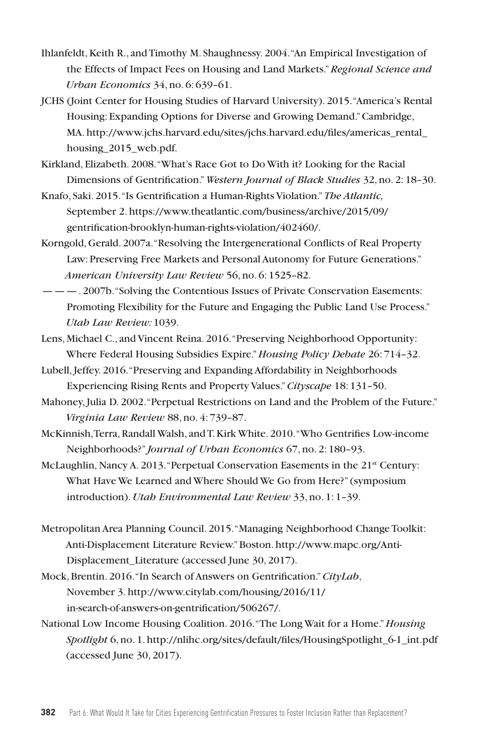- Ihlanfeldt, Keith R., and Timothy M. Shaughnessy. 2004. "An Empirical Investigation of the Effects of Impact Fees on Housing and Land Markets." *Regional Science and Urban Economics* 34, no. 6: 639–61.
- JCHS (Joint Center for Housing Studies of Harvard University). 2015. "America's Rental Housing: Expanding Options for Diverse and Growing Demand." Cambridge, MA. http://www.jchs.harvard.edu/sites/jchs.harvard.edu/files/americas\_rental\_ housing\_2015\_web.pdf.
- Kirkland, Elizabeth. 2008. "What's Race Got to Do With it? Looking for the Racial Dimensions of Gentrification." *Western Journal of Black Studies* 32, no. 2: 18–30.
- Knafo, Saki. 2015. "Is Gentrification a Human-Rights Violation." *The Atlantic,*  September 2. https://www.theatlantic.com/business/archive/2015/09/ gentrification-brooklyn-human-rights-violation/402460/.
- Korngold, Gerald. 2007a. "Resolving the Intergenerational Conflicts of Real Property Law: Preserving Free Markets and Personal Autonomy for Future Generations." *American University Law Review* 56, no. 6: 1525–82.
- ———. 2007b. "Solving the Contentious Issues of Private Conservation Easements: Promoting Flexibility for the Future and Engaging the Public Land Use Process." *Utah Law Review:* 1039.
- Lens, Michael C., and Vincent Reina. 2016. "Preserving Neighborhood Opportunity: Where Federal Housing Subsidies Expire." *Housing Policy Debate* 26: 714–32.
- Lubell, Jeffey. 2016. "Preserving and Expanding Affordability in Neighborhoods Experiencing Rising Rents and Property Values." *Cityscape* 18: 131–50.
- Mahoney, Julia D. 2002. "Perpetual Restrictions on Land and the Problem of the Future." *Virginia Law Review* 88, no. 4: 739–87.
- McKinnish, Terra, Randall Walsh, and T. Kirk White. 2010. "Who Gentrifies Low-income Neighborhoods?" *Journal of Urban Economics* 67, no. 2: 180–93.
- McLaughlin, Nancy A. 2013. "Perpetual Conservation Easements in the 21<sup>st</sup> Century: What Have We Learned and Where Should We Go from Here?" (symposium introduction). *Utah Environmental Law Review* 33, no. 1: 1–39.
- Metropolitan Area Planning Council. 2015. "Managing Neighborhood Change Toolkit: Anti-Displacement Literature Review." Boston. http://www.mapc.org/Anti-Displacement\_Literature (accessed June 30, 2017).
- Mock, Brentin. 2016. "In Search of Answers on Gentrification." *CityLab*, November 3. http://www.citylab.com/housing/2016/11/ in-search-of-answers-on-gentrification/506267/.
- National Low Income Housing Coalition. 2016. "The Long Wait for a Home." *Housing Spotlight* 6, no. 1. http://nlihc.org/sites/default/files/HousingSpotlight\_6-1\_int.pdf (accessed June 30, 2017).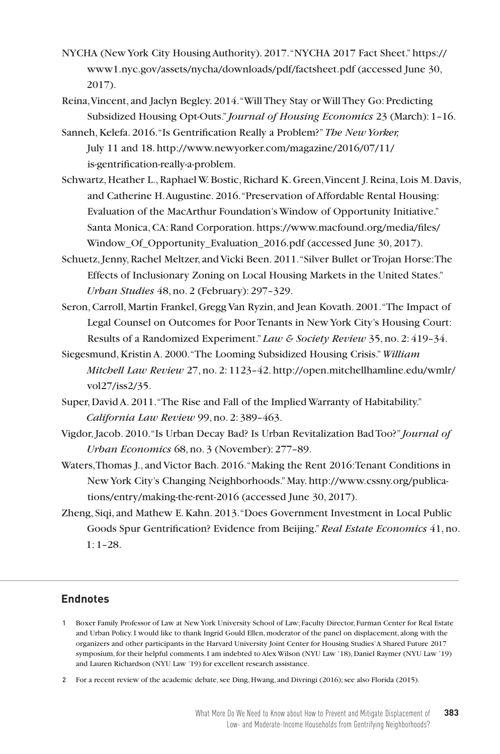- NYCHA (New York City Housing Authority). 2017. "NYCHA 2017 Fact Sheet." https:// www1.nyc.gov/assets/nycha/downloads/pdf/factsheet.pdf (accessed June 30, 2017).
- Reina, Vincent, and Jaclyn Begley. 2014. "Will They Stay or Will They Go: Predicting Subsidized Housing Opt-Outs." *Journal of Housing Economics* 23 (March): 1–16.
- Sanneh, Kelefa. 2016. "Is Gentrification Really a Problem?" *The New Yorker,* July 11 and 18. http://www.newyorker.com/magazine/2016/07/11/ is-gentrification-really-a-problem.
- Schwartz, Heather L., Raphael W. Bostic, Richard K. Green, Vincent J. Reina, Lois M. Davis, and Catherine H. Augustine. 2016. "Preservation of Affordable Rental Housing: Evaluation of the MacArthur Foundation's Window of Opportunity Initiative." Santa Monica, CA: Rand Corporation. https://www.macfound.org/media/files/ Window\_Of\_Opportunity\_Evaluation\_2016.pdf (accessed June 30, 2017).
- Schuetz, Jenny, Rachel Meltzer, and Vicki Been. 2011. "Silver Bullet or Trojan Horse: The Effects of Inclusionary Zoning on Local Housing Markets in the United States." *Urban Studies* 48, no. 2 (February): 297–329.
- Seron, Carroll, Martin Frankel, Gregg Van Ryzin, and Jean Kovath. 2001. "The Impact of Legal Counsel on Outcomes for Poor Tenants in New York City's Housing Court: Results of a Randomized Experiment." *Law & Society Review* 35, no. 2: 419–34.
- Siegesmund, Kristin A. 2000. "The Looming Subsidized Housing Crisis." *William Mitchell Law Review* 27, no. 2: 1123–42. http://open.mitchellhamline.edu/wmlr/ vol27/iss2/35.
- Super, David A. 2011. "The Rise and Fall of the Implied Warranty of Habitability." *California Law Review* 99, no. 2: 389–463.
- Vigdor, Jacob. 2010. "Is Urban Decay Bad? Is Urban Revitalization Bad Too?" *Journal of Urban Economics* 68, no. 3 (November): 277–89.
- Waters, Thomas J., and Victor Bach. 2016. "Making the Rent 2016: Tenant Conditions in New York City's Changing Neighborhoods." May. http://www.cssny.org/publications/entry/making-the-rent-2016 (accessed June 30, 2017).
- Zheng, Siqi, and Mathew E. Kahn. 2013. "Does Government Investment in Local Public Goods Spur Gentrification? Evidence from Beijing." *Real Estate Economics* 41, no. 1: 1–28.

## **Endnotes**

- 1 Boxer Family Professor of Law at New York University School of Law; Faculty Director, Furman Center for Real Estate and Urban Policy. I would like to thank Ingrid Gould Ellen, moderator of the panel on displacement, along with the organizers and other participants in the Harvard University Joint Center for Housing Studies' A Shared Future 2017 symposium, for their helpful comments. I am indebted to Alex Wilson (NYU Law '18), Daniel Raymer (NYU Law '19) and Lauren Richardson (NYU Law '19) for excellent research assistance.
- 2 For a recent review of the academic debate, see Ding, Hwang, and Divringi (2016); see also Florida (2015).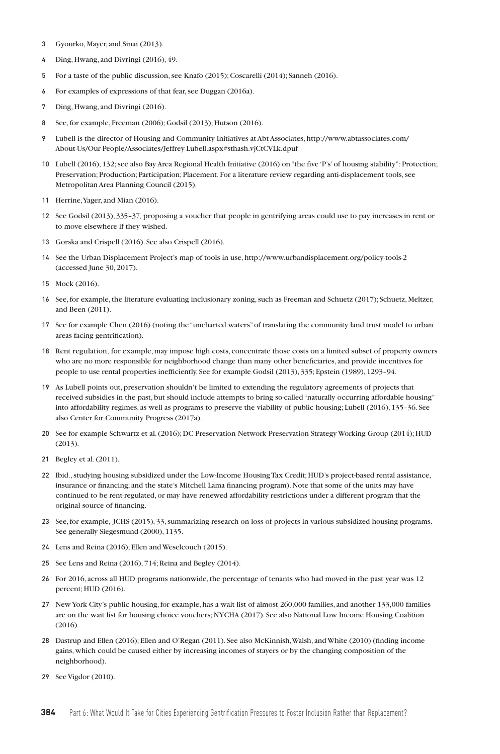- 3 Gyourko, Mayer, and Sinai (2013).
- 4 Ding, Hwang, and Divringi (2016), 49.
- 5 For a taste of the public discussion, see Knafo (2015); Coscarelli (2014); Sanneh (2016).
- 6 For examples of expressions of that fear, see Duggan (2016a).
- 7 Ding, Hwang, and Divringi (2016).
- 8 See, for example, Freeman (2006); Godsil (2013); Hutson (2016).
- Lubell is the director of Housing and Community Initiatives at Abt Associates, http://www.abtassociates.com/ About-Us/Our-People/Associates/Jeffrey-Lubell.aspx#sthash.vjCtCVLk.dpuf
- 10 Lubell (2016), 132; see also Bay Area Regional Health Initiative (2016) on "the five 'P's' of housing stability": Protection; Preservation; Production; Participation; Placement. For a literature review regarding anti-displacement tools, see Metropolitan Area Planning Council (2015).
- 11 Herrine, Yager, and Mian (2016).
- 12 See Godsil (2013), 335–37, proposing a voucher that people in gentrifying areas could use to pay increases in rent or to move elsewhere if they wished.
- 13 Gorska and Crispell (2016). See also Crispell (2016).
- 14 See the Urban Displacement Project's map of tools in use, http://www.urbandisplacement.org/policy-tools-2 (accessed June 30, 2017).
- 15 Mock (2016).
- 16 See, for example, the literature evaluating inclusionary zoning, such as Freeman and Schuetz (2017); Schuetz, Meltzer, and Been (2011).
- 17 See for example Chen (2016) (noting the "uncharted waters" of translating the community land trust model to urban areas facing gentrification).
- 18 Rent regulation, for example, may impose high costs, concentrate those costs on a limited subset of property owners who are no more responsible for neighborhood change than many other beneficiaries, and provide incentives for people to use rental properties inefficiently. See for example Godsil (2013), 335; Epstein (1989), 1293–94.
- 19 As Lubell points out, preservation shouldn't be limited to extending the regulatory agreements of projects that received subsidies in the past, but should include attempts to bring so-called "naturally occurring affordable housing" into affordability regimes, as well as programs to preserve the viability of public housing; Lubell (2016), 135–36. See also Center for Community Progress (2017a).
- 20 See for example Schwartz et al. (2016); DC Preservation Network Preservation Strategy Working Group (2014); HUD  $(2013)$
- 21 Begley et al. (2011).
- 22 Ibid., studying housing subsidized under the Low-Income Housing Tax Credit; HUD's project-based rental assistance, insurance or financing; and the state's Mitchell Lama financing program). Note that some of the units may have continued to be rent-regulated, or may have renewed affordability restrictions under a different program that the original source of financing.
- 23 See, for example, JCHS (2015), 33, summarizing research on loss of projects in various subsidized housing programs. See generally Siegesmund (2000), 1135.
- 24 Lens and Reina (2016); Ellen and Weselcouch (2015).
- 25 See Lens and Reina (2016), 714; Reina and Begley (2014).
- 26 For 2016, across all HUD programs nationwide, the percentage of tenants who had moved in the past year was 12 percent; HUD (2016).
- 27 New York City's public housing, for example, has a wait list of almost 260,000 families, and another 133,000 families are on the wait list for housing choice vouchers; NYCHA (2017). See also National Low Income Housing Coalition (2016).
- 28 Dastrup and Ellen (2016); Ellen and O'Regan (2011). See also McKinnish, Walsh, and White (2010) (finding income gains, which could be caused either by increasing incomes of stayers or by the changing composition of the neighborhood).
- 29 See Vigdor (2010).